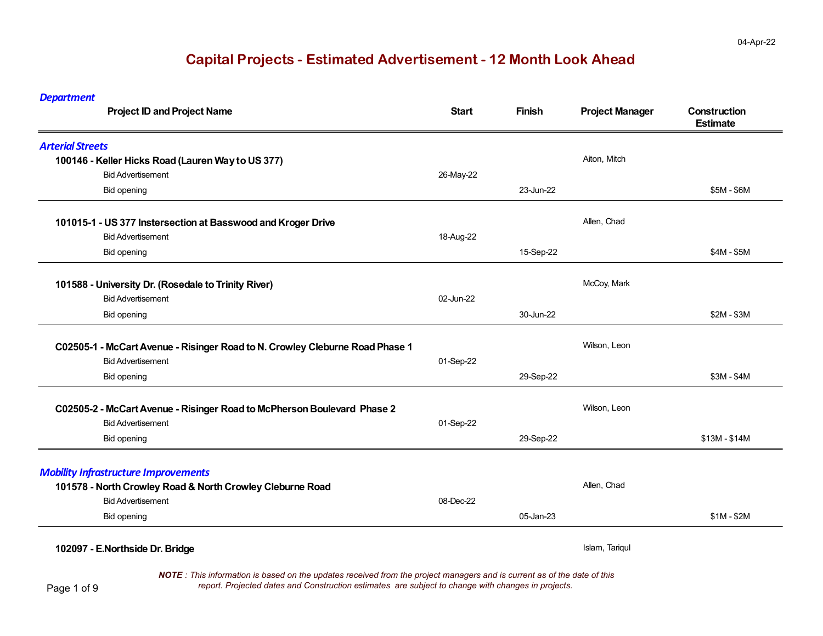| <b>Department</b><br><b>Project ID and Project Name</b>                                                                 | Start     | <b>Finish</b> | <b>Project Manager</b> | <b>Construction</b><br><b>Estimate</b> |
|-------------------------------------------------------------------------------------------------------------------------|-----------|---------------|------------------------|----------------------------------------|
| <b>Arterial Streets</b>                                                                                                 |           |               |                        |                                        |
| 100146 - Keller Hicks Road (Lauren Way to US 377)                                                                       |           |               | Aiton, Mitch           |                                        |
| <b>Bid Advertisement</b>                                                                                                | 26-May-22 |               |                        |                                        |
| <b>Bid opening</b>                                                                                                      |           | 23-Jun-22     |                        | \$5M - \$6M                            |
| 101015-1 - US 377 Instersection at Basswood and Kroger Drive                                                            |           |               | Allen, Chad            |                                        |
| <b>Bid Advertisement</b>                                                                                                | 18-Aug-22 |               |                        |                                        |
| Bid opening                                                                                                             |           | 15-Sep-22     |                        | \$4M - \$5M                            |
| 101588 - University Dr. (Rosedale to Trinity River)                                                                     |           |               | McCoy, Mark            |                                        |
| <b>Bid Advertisement</b>                                                                                                | 02-Jun-22 |               |                        |                                        |
| Bid opening                                                                                                             |           | 30-Jun-22     |                        | $$2M - $3M$                            |
| <b>Bid Advertisement</b><br>Bid opening                                                                                 | 01-Sep-22 | 29-Sep-22     |                        | $$3M - $4M$                            |
|                                                                                                                         |           |               |                        |                                        |
| C02505-2 - McCart Avenue - Risinger Road to McPherson Boulevard Phase 2                                                 |           |               | Wilson, Leon           |                                        |
| <b>Bid Advertisement</b>                                                                                                | 01-Sep-22 |               |                        |                                        |
| <b>Bid opening</b>                                                                                                      |           | 29-Sep-22     |                        | $$13M - $14M$                          |
| <b>Mobility Infrastructure Improvements</b>                                                                             |           |               |                        |                                        |
| 101578 - North Crowley Road & North Crowley Cleburne Road                                                               |           |               | Allen, Chad            |                                        |
| <b>Bid Advertisement</b>                                                                                                | 08-Dec-22 |               |                        |                                        |
| Bid opening                                                                                                             |           | 05-Jan-23     |                        | $$1M - $2M$                            |
| 102097 - E.Northside Dr. Bridge                                                                                         |           |               | Islam, Tariqul         |                                        |
| NOTE: This information is based on the updates received from the project managers and is current as of the date of this |           |               |                        |                                        |
| report. Projected dates and Construction estimates are subject to change with changes in projects.<br>Page 1 of 9       |           |               |                        |                                        |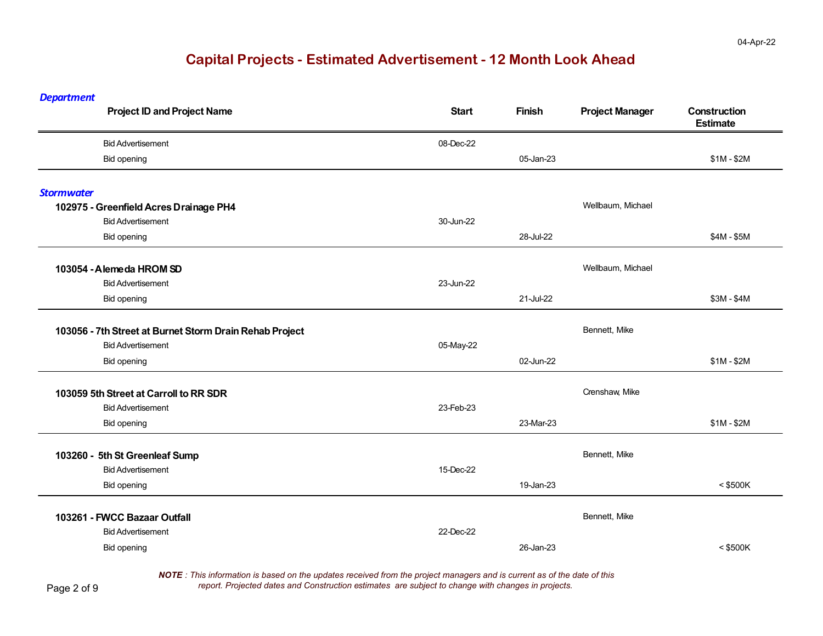*Department*

| <b>Project ID and Project Name</b>                      | <b>Start</b> | <b>Finish</b> | <b>Project Manager</b> | Construction<br><b>Estimate</b> |
|---------------------------------------------------------|--------------|---------------|------------------------|---------------------------------|
| <b>Bid Advertisement</b>                                | 08-Dec-22    |               |                        |                                 |
| <b>Bid opening</b>                                      |              | 05-Jan-23     |                        | $$1M - $2M$                     |
| <b>Stormwater</b>                                       |              |               |                        |                                 |
| 102975 - Greenfield Acres Drainage PH4                  |              |               | Wellbaum, Michael      |                                 |
| <b>Bid Advertisement</b>                                | 30-Jun-22    |               |                        |                                 |
| <b>Bid opening</b>                                      |              | 28-Jul-22     |                        | $$4M - $5M$                     |
| 103054 - Alemeda HROM SD                                |              |               | Wellbaum, Michael      |                                 |
| <b>Bid Advertisement</b>                                | 23-Jun-22    |               |                        |                                 |
| <b>Bid opening</b>                                      |              | 21-Jul-22     |                        | \$3M - \$4M                     |
| 103056 - 7th Street at Burnet Storm Drain Rehab Project |              |               | Bennett, Mike          |                                 |
| <b>Bid Advertisement</b>                                | 05-May-22    |               |                        |                                 |
| <b>Bid opening</b>                                      |              | 02-Jun-22     |                        | $$1M - $2M$                     |
| 103059 5th Street at Carroll to RR SDR                  |              |               | Crenshaw, Mike         |                                 |
| <b>Bid Advertisement</b>                                | 23-Feb-23    |               |                        |                                 |
| <b>Bid opening</b>                                      |              | 23-Mar-23     |                        | $$1M - $2M$                     |
| 103260 - 5th St Greenleaf Sump                          |              |               | Bennett, Mike          |                                 |
| <b>Bid Advertisement</b>                                | 15-Dec-22    |               |                        |                                 |
| <b>Bid opening</b>                                      |              | 19-Jan-23     |                        | $<$ \$500K                      |
| 103261 - FWCC Bazaar Outfall                            |              |               | Bennett, Mike          |                                 |
| <b>Bid Advertisement</b>                                | 22-Dec-22    |               |                        |                                 |
| <b>Bid opening</b>                                      |              | 26-Jan-23     |                        | $<$ \$500K                      |

*NOTE : This information is based on the updates received from the project managers and is current as of the date of this report. Projected dates and Construction estimates are subject to change with changes in projects.*

Page 2 of 9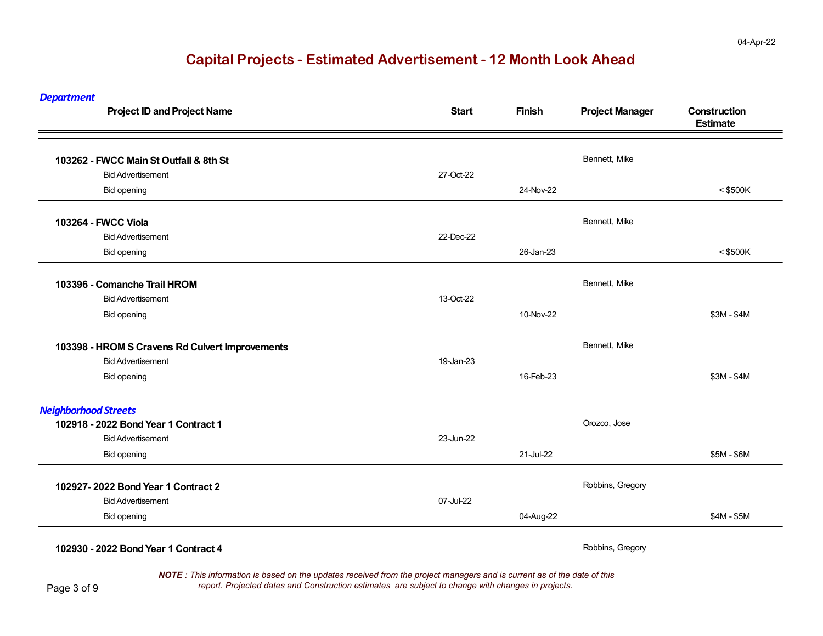| <b>Department</b><br><b>Project ID and Project Name</b> | <b>Start</b> | <b>Finish</b> | <b>Project Manager</b> | Construction<br><b>Estimate</b> |
|---------------------------------------------------------|--------------|---------------|------------------------|---------------------------------|
| 103262 - FWCC Main St Outfall & 8th St                  |              |               | Bennett, Mike          |                                 |
| <b>Bid Advertisement</b>                                | 27-Oct-22    |               |                        |                                 |
| Bid opening                                             |              | 24-Nov-22     |                        | $<$ \$500K                      |
| 103264 - FWCC Viola                                     |              |               | Bennett, Mike          |                                 |
| <b>Bid Advertisement</b>                                | 22-Dec-22    |               |                        |                                 |
| <b>Bid opening</b>                                      |              | 26-Jan-23     |                        | $<$ \$500K                      |
| 103396 - Comanche Trail HROM                            |              |               | Bennett, Mike          |                                 |
| <b>Bid Advertisement</b>                                | 13-Oct-22    |               |                        |                                 |
| <b>Bid opening</b>                                      |              | 10-Nov-22     |                        | $$3M - $4M$                     |
| 103398 - HROM S Cravens Rd Culvert Improvements         |              |               | Bennett, Mike          |                                 |
| <b>Bid Advertisement</b>                                | 19-Jan-23    |               |                        |                                 |
| Bid opening                                             |              | 16-Feb-23     |                        | $$3M - $4M$                     |
| <b>Neighborhood Streets</b>                             |              |               |                        |                                 |
| 102918 - 2022 Bond Year 1 Contract 1                    |              |               | Orozco, Jose           |                                 |
| <b>Bid Advertisement</b>                                | 23-Jun-22    |               |                        |                                 |
| Bid opening                                             |              | 21-Jul-22     |                        | \$5M - \$6M                     |
| 102927-2022 Bond Year 1 Contract 2                      |              |               | Robbins, Gregory       |                                 |
| <b>Bid Advertisement</b>                                | 07-Jul-22    |               |                        |                                 |
| <b>Bid opening</b>                                      |              | 04-Aug-22     |                        | $$4M - $5M$                     |
| 102930 - 2022 Bond Year 1 Contract 4                    |              |               | Robbins, Gregory       |                                 |

*NOTE : This information is based on the updates received from the project managers and is current as of the date of this report. Projected dates and Construction estimates are subject to change with changes in projects.*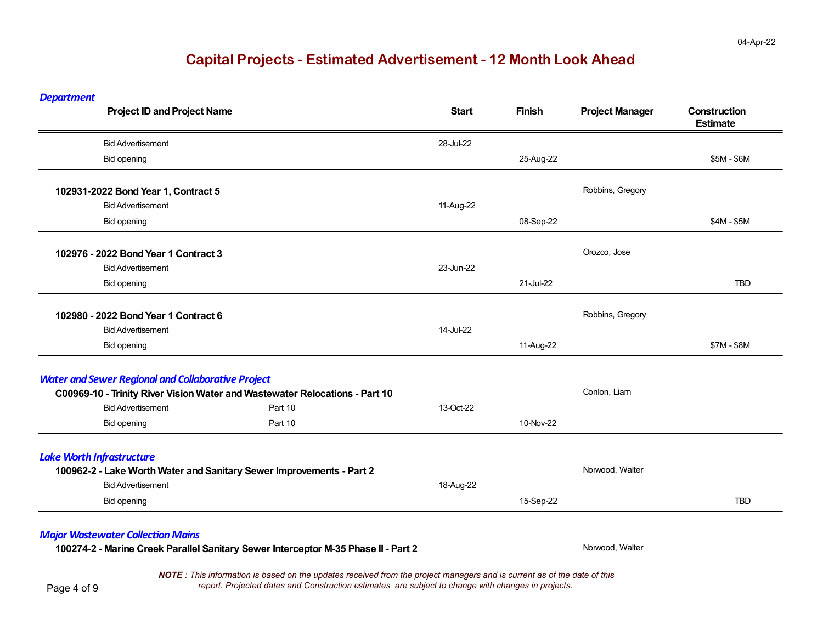*Department*

| <b>Project ID and Project Name</b>                        |                                                                             | <b>Start</b> | <b>Finish</b> | <b>Project Manager</b> | Construction<br><b>Estimate</b> |
|-----------------------------------------------------------|-----------------------------------------------------------------------------|--------------|---------------|------------------------|---------------------------------|
| <b>Bid Advertisement</b>                                  |                                                                             | 28-Jul-22    |               |                        |                                 |
| Bid opening                                               |                                                                             |              | 25-Aug-22     |                        | \$5M - \$6M                     |
| 102931-2022 Bond Year 1, Contract 5                       |                                                                             |              |               | Robbins, Gregory       |                                 |
| <b>Bid Advertisement</b>                                  |                                                                             | 11-Aug-22    |               |                        |                                 |
| <b>Bid opening</b>                                        |                                                                             |              | 08-Sep-22     |                        | $$4M - $5M$                     |
| 102976 - 2022 Bond Year 1 Contract 3                      |                                                                             |              |               | Orozco, Jose           |                                 |
| <b>Bid Advertisement</b>                                  |                                                                             | 23-Jun-22    |               |                        |                                 |
| <b>Bid opening</b>                                        |                                                                             |              | 21-Jul-22     |                        | <b>TBD</b>                      |
| 102980 - 2022 Bond Year 1 Contract 6                      |                                                                             |              |               | Robbins, Gregory       |                                 |
| <b>Bid Advertisement</b>                                  |                                                                             | 14-Jul-22    |               |                        |                                 |
| <b>Bid opening</b>                                        |                                                                             |              | 11-Aug-22     |                        | \$7M - \$8M                     |
| <b>Water and Sewer Regional and Collaborative Project</b> |                                                                             |              |               |                        |                                 |
|                                                           | C00969-10 - Trinity River Vision Water and Wastewater Relocations - Part 10 |              |               | Conlon, Liam           |                                 |
| <b>Bid Advertisement</b>                                  | Part 10                                                                     | 13-Oct-22    |               |                        |                                 |
| <b>Bid opening</b>                                        | Part 10                                                                     |              | 10-Nov-22     |                        |                                 |
| <b>Lake Worth Infrastructure</b>                          |                                                                             |              |               |                        |                                 |
|                                                           | 100962-2 - Lake Worth Water and Sanitary Sewer Improvements - Part 2        |              |               | Norwood, Walter        |                                 |
| <b>Bid Advertisement</b>                                  |                                                                             | 18-Aug-22    |               |                        |                                 |
| <b>Bid opening</b>                                        |                                                                             |              | 15-Sep-22     |                        | <b>TBD</b>                      |

#### *Major Wastewater Collec ƟonMains*

100274-2 - Marine Creek Parallel Sanitary Sewer Interceptor M-35 Phase II - Part 2

*NOTE : This information is based on the updates received from the project managers and is current as of the date of this report. Projected dates and Construction estimates are subject to change with changes in projects.*

Page 4 of 9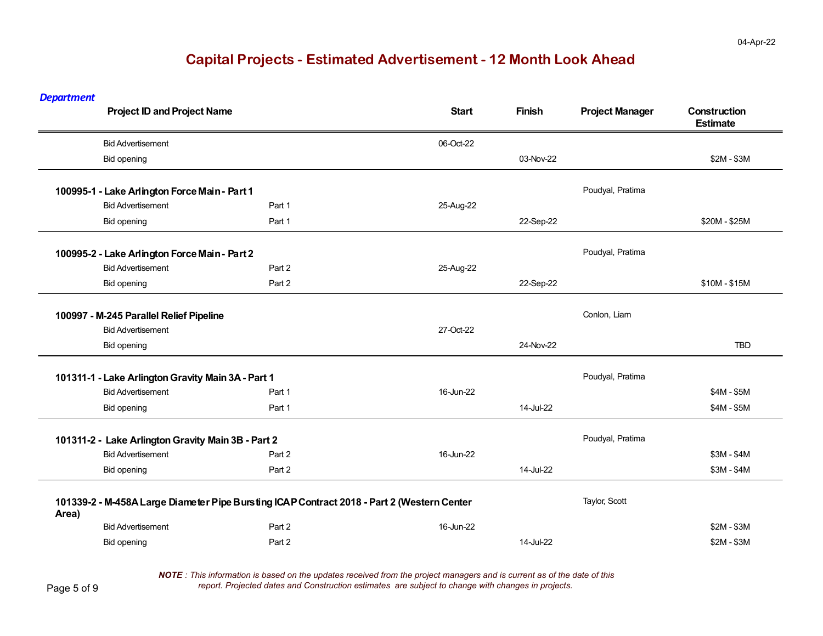*Department*

| <b>Project ID and Project Name</b>                 |                                                                                            | <b>Start</b> | <b>Finish</b> | <b>Project Manager</b> | Construction<br><b>Estimate</b> |
|----------------------------------------------------|--------------------------------------------------------------------------------------------|--------------|---------------|------------------------|---------------------------------|
| <b>Bid Advertisement</b>                           |                                                                                            | 06-Oct-22    |               |                        |                                 |
| Bid opening                                        |                                                                                            |              | 03-Nov-22     |                        | $$2M - $3M$                     |
| 100995-1 - Lake Arlington Force Main - Part 1      |                                                                                            |              |               | Poudyal, Pratima       |                                 |
| <b>Bid Advertisement</b>                           | Part 1                                                                                     | 25-Aug-22    |               |                        |                                 |
| <b>Bid opening</b>                                 | Part 1                                                                                     |              | 22-Sep-22     |                        | \$20M - \$25M                   |
| 100995-2 - Lake Arlington Force Main - Part 2      |                                                                                            |              |               | Poudyal, Pratima       |                                 |
| <b>Bid Advertisement</b>                           | Part 2                                                                                     | 25-Aug-22    |               |                        |                                 |
| <b>Bid opening</b>                                 | Part 2                                                                                     |              | 22-Sep-22     |                        | \$10M - \$15M                   |
| 100997 - M-245 Parallel Relief Pipeline            |                                                                                            |              |               | Conlon, Liam           |                                 |
| <b>Bid Advertisement</b>                           |                                                                                            | 27-Oct-22    |               |                        |                                 |
| <b>Bid opening</b>                                 |                                                                                            |              | 24-Nov-22     |                        | <b>TBD</b>                      |
| 101311-1 - Lake Arlington Gravity Main 3A - Part 1 |                                                                                            |              |               | Poudyal, Pratima       |                                 |
| <b>Bid Advertisement</b>                           | Part 1                                                                                     | 16-Jun-22    |               |                        | $$4M - $5M$                     |
| <b>Bid opening</b>                                 | Part 1                                                                                     |              | 14-Jul-22     |                        | $$4M - $5M$                     |
| 101311-2 - Lake Arlington Gravity Main 3B - Part 2 |                                                                                            |              |               | Poudyal, Pratima       |                                 |
| <b>Bid Advertisement</b>                           | Part 2                                                                                     | 16-Jun-22    |               |                        | \$3M - \$4M                     |
| <b>Bid opening</b>                                 | Part 2                                                                                     |              | 14-Jul-22     |                        | $$3M - $4M$                     |
| Area)                                              | 101339-2 - M-458A Large Diameter Pipe Bursting ICAP Contract 2018 - Part 2 (Western Center |              |               | Taylor, Scott          |                                 |
| <b>Bid Advertisement</b>                           | Part 2                                                                                     | 16-Jun-22    |               |                        | $$2M - $3M$                     |
| Bid opening                                        | Part 2                                                                                     |              | 14-Jul-22     |                        | $$2M - $3M$                     |

*NOTE : This information is based on the updates received from the project managers and is current as of the date of this report. Projected dates and Construction estimates are subject to change with changes in projects.*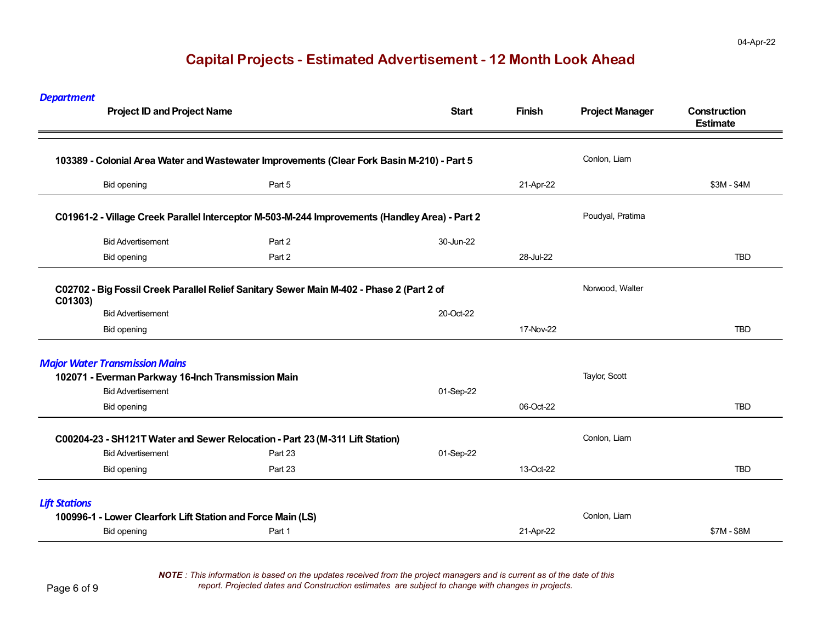| <b>Department</b>    | <b>Project ID and Project Name</b>                          |                                                                                                | <b>Start</b> | <b>Finish</b> | <b>Project Manager</b> | Construction<br><b>Estimate</b> |
|----------------------|-------------------------------------------------------------|------------------------------------------------------------------------------------------------|--------------|---------------|------------------------|---------------------------------|
|                      |                                                             | 103389 - Colonial Area Water and Wastewater Improvements (Clear Fork Basin M-210) - Part 5     |              |               | Conlon, Liam           |                                 |
|                      | <b>Bid opening</b>                                          | Part 5                                                                                         |              | 21-Apr-22     |                        | \$3M - \$4M                     |
|                      |                                                             | C01961-2 - Village Creek Parallel Interceptor M-503-M-244 Improvements (Handley Area) - Part 2 |              |               | Poudyal, Pratima       |                                 |
|                      | <b>Bid Advertisement</b>                                    | Part 2                                                                                         | 30-Jun-22    |               |                        |                                 |
|                      | <b>Bid opening</b>                                          | Part 2                                                                                         |              | 28-Jul-22     |                        | <b>TBD</b>                      |
| C01303)              |                                                             | C02702 - Big Fossil Creek Parallel Relief Sanitary Sewer Main M-402 - Phase 2 (Part 2 of       |              |               | Norwood, Walter        |                                 |
|                      | <b>Bid Advertisement</b>                                    |                                                                                                | 20-Oct-22    |               |                        |                                 |
|                      | <b>Bid opening</b>                                          |                                                                                                |              | 17-Nov-22     |                        | TBD                             |
|                      | <b>Major Water Transmission Mains</b>                       |                                                                                                |              |               |                        |                                 |
|                      | 102071 - Everman Parkway 16-Inch Transmission Main          |                                                                                                |              |               | Taylor, Scott          |                                 |
|                      | <b>Bid Advertisement</b>                                    |                                                                                                | 01-Sep-22    |               |                        |                                 |
|                      | <b>Bid opening</b>                                          |                                                                                                |              | 06-Oct-22     |                        | <b>TBD</b>                      |
|                      |                                                             | C00204-23 - SH121T Water and Sewer Relocation - Part 23 (M-311 Lift Station)                   |              |               | Conlon, Liam           |                                 |
|                      | <b>Bid Advertisement</b>                                    | Part 23                                                                                        | 01-Sep-22    |               |                        |                                 |
|                      | <b>Bid opening</b>                                          | Part 23                                                                                        |              | 13-Oct-22     |                        | <b>TBD</b>                      |
| <b>Lift Stations</b> |                                                             |                                                                                                |              |               |                        |                                 |
|                      | 100996-1 - Lower Clearfork Lift Station and Force Main (LS) |                                                                                                |              |               | Conlon, Liam           |                                 |
|                      | <b>Bid opening</b>                                          | Part 1                                                                                         |              | 21-Apr-22     |                        | \$7M - \$8M                     |
|                      |                                                             |                                                                                                |              |               |                        |                                 |

*NOTE : This information is based on the updates received from the project managers and is current as of the date of this report. Projected dates and Construction estimates are subject to change with changes in projects.*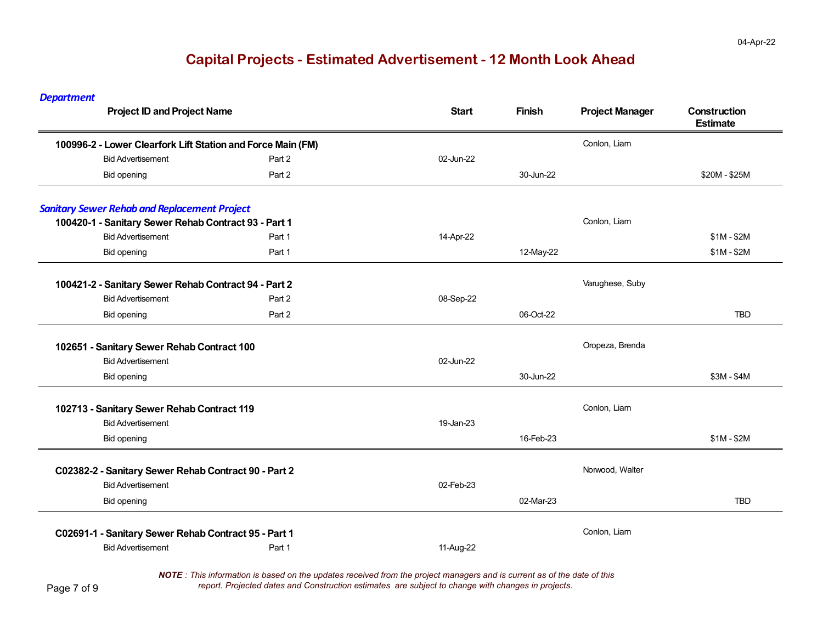*Department* **Project ID and Project Name Start Finish Project Manager Construction Estimate 100996-2 - Lower Clearfork Lift Station and Force Main (FM)** Contact Contact Contact Conlon, Liam Bid Advertisement Part 2 02-Jun-22Bid opening Part 2 30-Jun-22 \$20M - \$25M **Sanitary Sewer Rehab and Replacement Project 100420-1 - Sanitary Sewer Rehab Contract 93 - Part 1** Contract 10 Authorities and the context of the context of the context of the context of the context of the context of the context of the context of the context of the Bid Advertisement Part 1 14-Apr-22 \$1M - \$2M Bid opening Part 1 12-May-22 \$1M - \$2M **100421-2 - Sanitary Sewer Rehab Contract 94 - Part 2** Varughese, Suby Bid Advertisement Part 2 08-Sep-22 Bid opening Part 2 06-Oct-22 **TBD 102651 - Sanitary Sewer Rehab Contract 100** Oropeza, Brenda **Contract 100** Oropeza, Brenda Bid Advertisement 02-Jun-22Bid opening 30-Jun-22 \$3M - \$4M **102713 - Sanitary Sewer Rehab Contract 119** Conlon, Liam Conlon, Liam Conlon, Liam Bid Advertisement 19-Jan-23Bid opening 16-Feb-23 \$1M - \$2M C02382-2 - Sanitary Sewer Rehab Contract 90 - Part 2 **Norwood, Walter** Norwood, Walter Bid Advertisement 02-Feb-23Bid opening and the state of the state of the state of the state of the state of the state of the state of the state of the state of the state of the state of the state of the state of the state of the state of the state o **TBD C02691-1 - Sanitary Sewer Rehab Contract 95 - Part 1** Contract 1 Contomy Contomy Contomy, Liam Bid Advertisement **Part 1** 11-Aug-22 *NOTE : This information is based on the updates received from the project managers and is current as of the date of this*

*report. Projected dates and Construction estimates are subject to change with changes in projects.*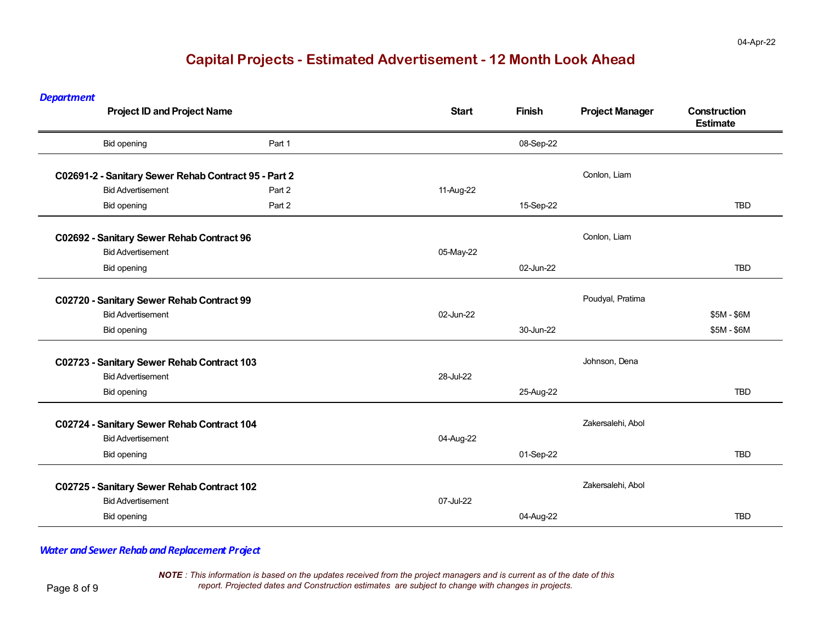*Department*

| <b>Project ID and Project Name</b>                   |        | <b>Start</b> | <b>Finish</b> | <b>Project Manager</b> | Construction<br><b>Estimate</b> |
|------------------------------------------------------|--------|--------------|---------------|------------------------|---------------------------------|
| <b>Bid opening</b>                                   | Part 1 |              | 08-Sep-22     |                        |                                 |
| C02691-2 - Sanitary Sewer Rehab Contract 95 - Part 2 |        |              |               | Conlon, Liam           |                                 |
| <b>Bid Advertisement</b>                             | Part 2 | 11-Aug-22    |               |                        |                                 |
| <b>Bid opening</b>                                   | Part 2 |              | 15-Sep-22     |                        | <b>TBD</b>                      |
| C02692 - Sanitary Sewer Rehab Contract 96            |        |              |               | Conlon, Liam           |                                 |
| <b>Bid Advertisement</b>                             |        | 05-May-22    |               |                        |                                 |
| <b>Bid opening</b>                                   |        |              | 02-Jun-22     |                        | <b>TBD</b>                      |
| C02720 - Sanitary Sewer Rehab Contract 99            |        |              |               | Poudyal, Pratima       |                                 |
| <b>Bid Advertisement</b>                             |        | 02-Jun-22    |               |                        | \$5M - \$6M                     |
| <b>Bid opening</b>                                   |        |              | 30-Jun-22     |                        | \$5M - \$6M                     |
| C02723 - Sanitary Sewer Rehab Contract 103           |        |              |               | Johnson, Dena          |                                 |
| <b>Bid Advertisement</b>                             |        | 28-Jul-22    |               |                        |                                 |
| <b>Bid opening</b>                                   |        |              | 25-Aug-22     |                        | <b>TBD</b>                      |
| C02724 - Sanitary Sewer Rehab Contract 104           |        |              |               | Zakersalehi, Abol      |                                 |
| <b>Bid Advertisement</b>                             |        | 04-Aug-22    |               |                        |                                 |
| <b>Bid opening</b>                                   |        |              | 01-Sep-22     |                        | <b>TBD</b>                      |
| C02725 - Sanitary Sewer Rehab Contract 102           |        |              |               | Zakersalehi, Abol      |                                 |
| <b>Bid Advertisement</b>                             |        | 07-Jul-22    |               |                        |                                 |
| <b>Bid opening</b>                                   |        |              | 04-Aug-22     |                        | <b>TBD</b>                      |

#### *Water and Sewer Rehab andReplacement Project*

*NOTE : This information is based on the updates received from the project managers and is current as of the date of this report. Projected dates and Construction estimates are subject to change with changes in projects.*

Page 8 of 9